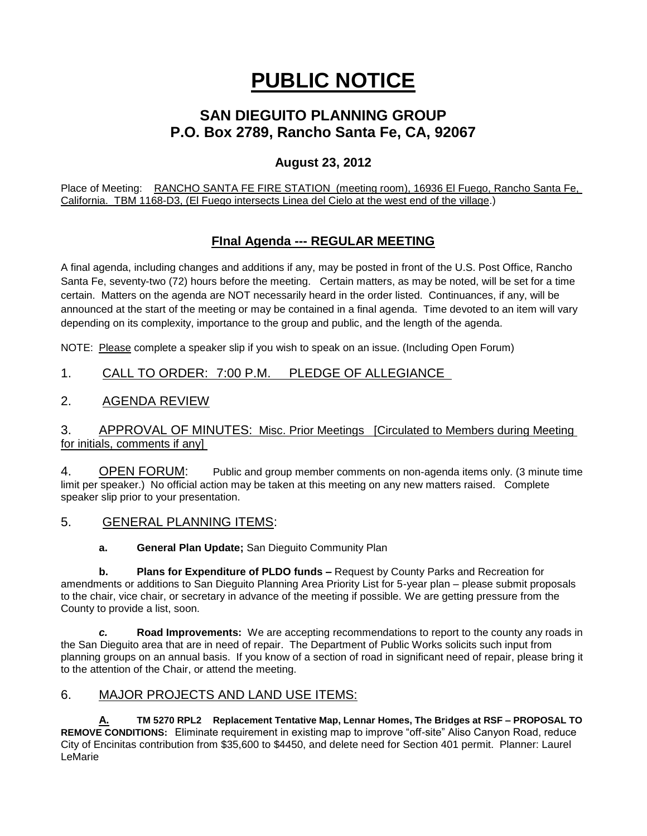# **PUBLIC NOTICE**

## **SAN DIEGUITO PLANNING GROUP P.O. Box 2789, Rancho Santa Fe, CA, 92067**

## **August 23, 2012**

Place of Meeting: RANCHO SANTA FE FIRE STATION (meeting room), 16936 El Fuego, Rancho Santa Fe, California. TBM 1168-D3, (El Fuego intersects Linea del Cielo at the west end of the village.)

## **FInal Agenda --- REGULAR MEETING**

A final agenda, including changes and additions if any, may be posted in front of the U.S. Post Office, Rancho Santa Fe, seventy-two (72) hours before the meeting. Certain matters, as may be noted, will be set for a time certain. Matters on the agenda are NOT necessarily heard in the order listed. Continuances, if any, will be announced at the start of the meeting or may be contained in a final agenda. Time devoted to an item will vary depending on its complexity, importance to the group and public, and the length of the agenda.

NOTE: Please complete a speaker slip if you wish to speak on an issue. (Including Open Forum)

## 1. CALL TO ORDER: 7:00 P.M. PLEDGE OF ALLEGIANCE

## 2. AGENDA REVIEW

#### 3. APPROVAL OF MINUTES: Misc. Prior Meetings [Circulated to Members during Meeting for initials, comments if any]

4. OPEN FORUM: Public and group member comments on non-agenda items only. (3 minute time limit per speaker.) No official action may be taken at this meeting on any new matters raised. Complete speaker slip prior to your presentation.

5. GENERAL PLANNING ITEMS:

**a. General Plan Update;** San Dieguito Community Plan

**b. Plans for Expenditure of PLDO funds –** Request by County Parks and Recreation for amendments or additions to San Dieguito Planning Area Priority List for 5-year plan – please submit proposals to the chair, vice chair, or secretary in advance of the meeting if possible. We are getting pressure from the County to provide a list, soon.

*c.* **Road Improvements:** We are accepting recommendations to report to the county any roads in the San Dieguito area that are in need of repair. The Department of Public Works solicits such input from planning groups on an annual basis. If you know of a section of road in significant need of repair, please bring it to the attention of the Chair, or attend the meeting.

### 6. MAJOR PROJECTS AND LAND USE ITEMS:

**A. TM 5270 RPL2 Replacement Tentative Map, Lennar Homes, The Bridges at RSF – PROPOSAL TO REMOVE CONDITIONS:** Eliminate requirement in existing map to improve "off-site" Aliso Canyon Road, reduce City of Encinitas contribution from \$35,600 to \$4450, and delete need for Section 401 permit. Planner: Laurel LeMarie